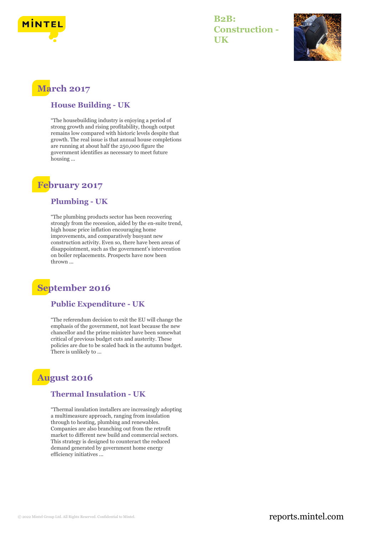

**B2B: Construction - UK**



### **March 2017**

#### **House Building - UK**

"The housebuilding industry is enjoying a period of strong growth and rising profitability, though output remains low compared with historic levels despite that growth. The real issue is that annual house completions are running at about half the 250,000 figure the government identifies as necessary to meet future housing ...

### **February 2017**

#### **Plumbing - UK**

"The plumbing products sector has been recovering strongly from the recession, aided by the en-suite trend, high house price inflation encouraging home improvements, and comparatively buoyant new construction activity. Even so, there have been areas of disappointment, such as the government's intervention on boiler replacements. Prospects have now been thrown ...

### **September 2016**

#### **Public Expenditure - UK**

"The referendum decision to exit the EU will change the emphasis of the government, not least because the new chancellor and the prime minister have been somewhat critical of previous budget cuts and austerity. These policies are due to be scaled back in the autumn budget. There is unlikely to ...

## **August 2016**

#### **Thermal Insulation - UK**

"Thermal insulation installers are increasingly adopting a multimeasure approach, ranging from insulation through to heating, plumbing and renewables. Companies are also branching out from the retrofit market to different new build and commercial sectors. This strategy is designed to counteract the reduced demand generated by government home energy efficiency initiatives ...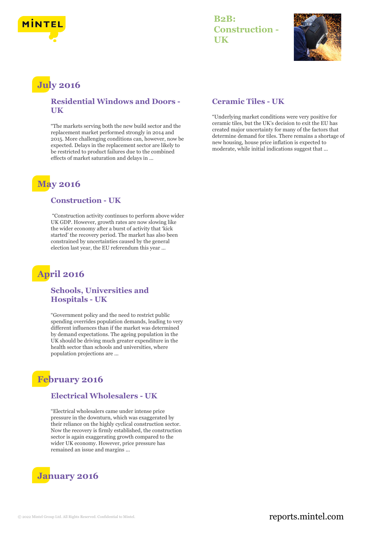

### **B2B: Construction - UK**



# **July 2016**

#### **Residential Windows and Doors - UK**

"The markets serving both the new build sector and the replacement market performed strongly in 2014 and 2015. More challenging conditions can, however, now be expected. Delays in the replacement sector are likely to be restricted to product failures due to the combined effects of market saturation and delays in ...

### **May 2016**

#### **Construction - UK**

"Construction activity continues to perform above wider UK GDP. However, growth rates are now slowing like the wider economy after a burst of activity that 'kick started' the recovery period. The market has also been constrained by uncertainties caused by the general election last year, the EU referendum this year ...

## **April 2016**

#### **Schools, Universities and Hospitals - UK**

"Government policy and the need to restrict public spending overrides population demands, leading to very different influences than if the market was determined by demand expectations. The ageing population in the UK should be driving much greater expenditure in the health sector than schools and universities, where population projections are ...

## **February 2016**

#### **Electrical Wholesalers - UK**

"Electrical wholesalers came under intense price pressure in the downturn, which was exaggerated by their reliance on the highly cyclical construction sector. Now the recovery is firmly established, the construction sector is again exaggerating growth compared to the wider UK economy. However, price pressure has remained an issue and margins ...



#### **Ceramic Tiles - UK**

"Underlying market conditions were very positive for ceramic tiles, but the UK's decision to exit the EU has created major uncertainty for many of the factors that determine demand for tiles. There remains a shortage of new housing, house price inflation is expected to moderate, while initial indications suggest that ...